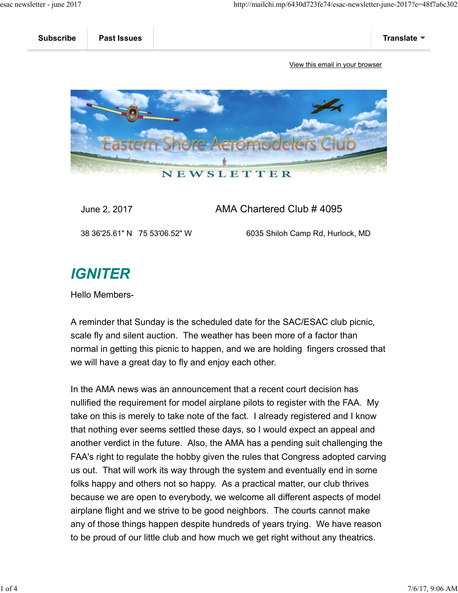

#### June 2, 2017 AMA Chartered Club # 4095

38 36'25.61" N 75 53'06.52" W 6035 Shiloh Camp Rd, Hurlock, MD

## **IGNITER**

Hello Members-

A reminder that Sunday is the scheduled date for the SAC/ESAC club picnic, scale fly and silent auction. The weather has been more of a factor than normal in getting this picnic to happen, and we are holding fingers crossed that we will have a great day to fly and enjoy each other.

In the AMA news was an announcement that a recent court decision has nullified the requirement for model airplane pilots to register with the FAA. My take on this is merely to take note of the fact. I already registered and I know that nothing ever seems settled these days, so I would expect an appeal and another verdict in the future. Also, the AMA has a pending suit challenging the FAA's right to regulate the hobby given the rules that Congress adopted carving us out. That will work its way through the system and eventually end in some folks happy and others not so happy. As a practical matter, our club thrives because we are open to everybody, we welcome all different aspects of model airplane flight and we strive to be good neighbors. The courts cannot make any of those things happen despite hundreds of years trying. We have reason to be proud of our little club and how much we get right without any theatrics.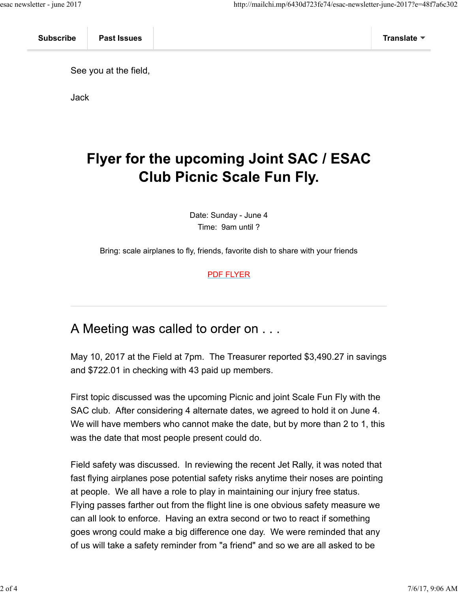See you at the field,

Jack

# Flyer for the upcoming Joint SAC / ESAC **Club Picnic Scale Fun Fly.**

Date: Sunday - June 4 Time: 9am until ?

Bring: scale airplanes to fly, friends, favorite dish to share with your friends

PDF FLYER

### A Meeting was called to order on . . .

May 10, 2017 at the Field at 7pm. The Treasurer reported \$3,490.27 in savings and \$722.01 in checking with 43 paid up members.

First topic discussed was the upcoming Picnic and joint Scale Fun Fly with the SAC club. After considering 4 alternate dates, we agreed to hold it on June 4. We will have members who cannot make the date, but by more than 2 to 1, this was the date that most people present could do.

Field safety was discussed. In reviewing the recent Jet Rally, it was noted that fast flying airplanes pose potential safety risks anytime their noses are pointing at people. We all have a role to play in maintaining our injury free status. Flying passes farther out from the flight line is one obvious safety measure we can all look to enforce. Having an extra second or two to react if something goes wrong could make a big difference one day. We were reminded that any of us will take a safety reminder from "a friend" and so we are all asked to be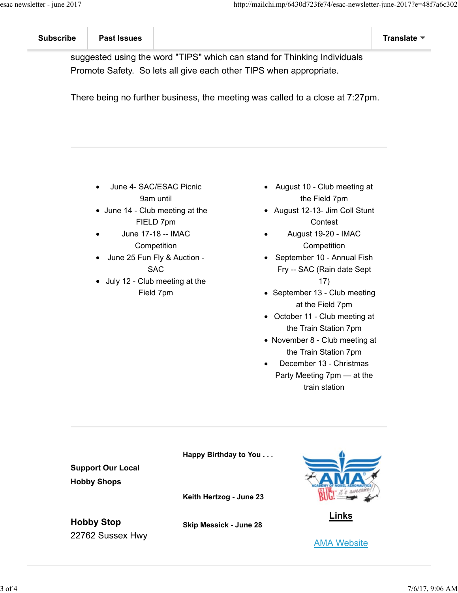suggested using the word "TIPS" which can stand for Thinking Individuals Promote Safety. So lets all give each other TIPS when appropriate.

There being no further business, the meeting was called to a close at 7:27pm.

- June 4- SAC/ESAC Picnic 9am until
- June 14 Club meeting at the FIELD 7pm
- June 17-18 -- IMAC **Competition**
- June 25 Fun Fly & Auction SAC
- July 12 Club meeting at the Field 7pm
- August 10 Club meeting at the Field 7pm
- August 12-13- Jim Coll Stunt **Contest**
- August 19-20 IMAC **Competition**
- September 10 Annual Fish Fry -- SAC (Rain date Sept 17)
- September 13 Club meeting at the Field 7pm
- October 11 Club meeting at the Train Station 7pm
- November 8 Club meeting at the Train Station 7pm
- December 13 Christmas Party Meeting 7pm — at the train station

**Support Our Local Hobby Shops Hobby Stop** 22762 Sussex Hwy **Happy Birthday to You . . . Keith Hertzog - June 23 Skip Messick - June 28 Links** AMA Website